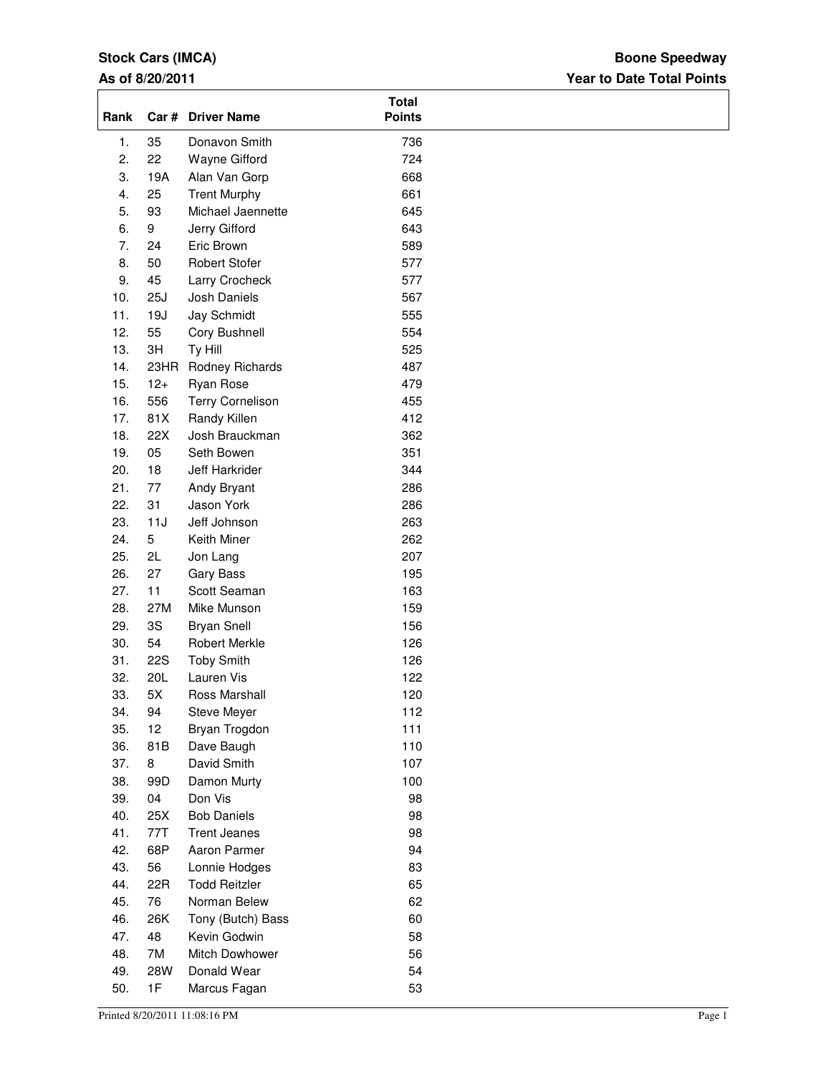## **Stock Cars (IMCA)**

## **As of 8/20/2011**

## **Year to Date Total Points Boone Speedway**

| Rank             |            | Car # Driver Name                   | <b>Total</b><br><b>Points</b> |  |
|------------------|------------|-------------------------------------|-------------------------------|--|
| 1.               | 35         | Donavon Smith                       | 736                           |  |
| 2.               | 22         | Wayne Gifford                       | 724                           |  |
| 3.               | 19A        | Alan Van Gorp                       | 668                           |  |
| $\overline{4}$ . | 25         | <b>Trent Murphy</b>                 | 661                           |  |
| 5.               | 93         | Michael Jaennette                   | 645                           |  |
| 6.               | 9          | Jerry Gifford                       | 643                           |  |
| 7.               | 24         | Eric Brown                          | 589                           |  |
| 8.               | 50         | <b>Robert Stofer</b>                | 577                           |  |
| 9.               | 45         | Larry Crocheck                      | 577                           |  |
| 10.              | 25J        | Josh Daniels                        | 567                           |  |
| 11.              | 19J        | Jay Schmidt                         | 555                           |  |
| 12.              | 55         | Cory Bushnell                       | 554                           |  |
| 13.              | 3H         | Ty Hill                             | 525                           |  |
| 14.              | 23HR       | Rodney Richards                     | 487                           |  |
| 15.              | $12+$      | Ryan Rose                           | 479                           |  |
| 16.              | 556        | Terry Cornelison                    | 455                           |  |
| 17.              | 81X        | Randy Killen                        | 412                           |  |
| 18.              | 22X        | Josh Brauckman                      | 362                           |  |
| 19.              | 05         | Seth Bowen                          | 351                           |  |
| 20.              | 18         | Jeff Harkrider                      | 344                           |  |
| 21.              | 77         | Andy Bryant                         | 286                           |  |
| 22.              | 31         | Jason York                          | 286                           |  |
| 23.              | 11J        | Jeff Johnson                        | 263                           |  |
| 24.              | 5          | Keith Miner                         | 262                           |  |
| 25.              | 2L         | Jon Lang                            | 207                           |  |
| 26.              | 27         | <b>Gary Bass</b>                    | 195                           |  |
| 27.              | 11         | Scott Seaman                        | 163                           |  |
| 28.              | 27M        | Mike Munson                         | 159                           |  |
| 29.<br>30.       | 3S<br>54   | <b>Bryan Snell</b><br>Robert Merkle | 156<br>126                    |  |
| 31.              | <b>22S</b> | <b>Toby Smith</b>                   | 126                           |  |
| 32.              | 20L        | Lauren Vis                          | 122                           |  |
| 33.              | 5X         | Ross Marshall                       | 120                           |  |
| 34.              | 94         | Steve Meyer                         | 112                           |  |
| 35.              | 12         | Bryan Trogdon                       | 111                           |  |
| 36.              | 81B        | Dave Baugh                          | 110                           |  |
| 37.              | 8          | David Smith                         | 107                           |  |
| 38.              | 99D        | Damon Murty                         | 100                           |  |
| 39.              | 04         | Don Vis                             | 98                            |  |
| 40.              | 25X        | <b>Bob Daniels</b>                  | 98                            |  |
| 41.              | 77T        | <b>Trent Jeanes</b>                 | 98                            |  |
| 42.              | 68P        | Aaron Parmer                        | 94                            |  |
| 43.              | 56         | Lonnie Hodges                       | 83                            |  |
| 44.              | 22R        | <b>Todd Reitzler</b>                | 65                            |  |
| 45.              | 76         | Norman Belew                        | 62                            |  |
| 46.              | 26K        | Tony (Butch) Bass                   | 60                            |  |
| 47.              | 48         | Kevin Godwin                        | 58                            |  |
| 48.              | 7M         | Mitch Dowhower                      | 56                            |  |
| 49.              | <b>28W</b> | Donald Wear                         | 54                            |  |
| 50.              | 1F         | Marcus Fagan                        | 53                            |  |